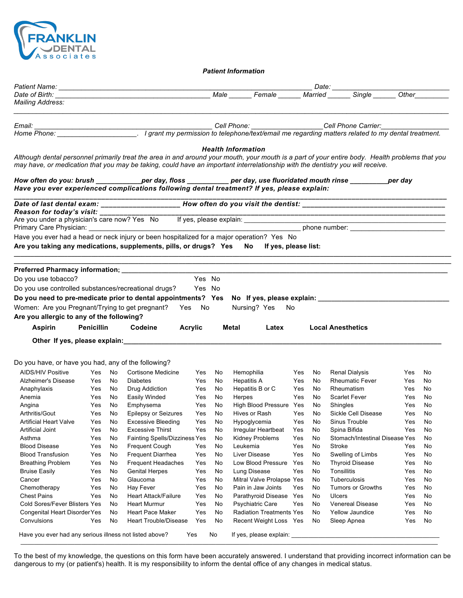

*Patient Information*

| <b>Mailing Address:</b>                                                                                                                                                                                                                                                                            |                   |          |                                                          |            |          |                                     |            |          |                                                                                                                                                 |                   |                                              |
|----------------------------------------------------------------------------------------------------------------------------------------------------------------------------------------------------------------------------------------------------------------------------------------------------|-------------------|----------|----------------------------------------------------------|------------|----------|-------------------------------------|------------|----------|-------------------------------------------------------------------------------------------------------------------------------------------------|-------------------|----------------------------------------------|
|                                                                                                                                                                                                                                                                                                    |                   |          |                                                          |            |          |                                     |            |          |                                                                                                                                                 |                   |                                              |
|                                                                                                                                                                                                                                                                                                    |                   |          |                                                          |            |          |                                     |            |          |                                                                                                                                                 |                   |                                              |
|                                                                                                                                                                                                                                                                                                    |                   |          |                                                          |            |          |                                     |            |          |                                                                                                                                                 |                   |                                              |
|                                                                                                                                                                                                                                                                                                    |                   |          |                                                          |            |          | <b>Health Information</b>           |            |          |                                                                                                                                                 |                   |                                              |
| may have, or medication that you may be taking, could have an important interrelationship with the dentistry you will receive.                                                                                                                                                                     |                   |          |                                                          |            |          |                                     |            |          | Although dental personnel primarily treat the area in and around your mouth, your mouth is a part of your entire body. Health problems that you |                   |                                              |
|                                                                                                                                                                                                                                                                                                    |                   |          |                                                          |            |          |                                     |            |          | How often do you: brush ____________per day, floss __________ per day, use fluoridated mouth rinse _________per day                             |                   |                                              |
| Have you ever experienced complications following dental treatment? If yes, please explain:                                                                                                                                                                                                        |                   |          |                                                          |            |          |                                     |            |          |                                                                                                                                                 |                   |                                              |
|                                                                                                                                                                                                                                                                                                    |                   |          |                                                          |            |          |                                     |            |          |                                                                                                                                                 |                   |                                              |
| Reason for today's visit:                                                                                                                                                                                                                                                                          |                   |          |                                                          |            |          |                                     |            |          |                                                                                                                                                 |                   |                                              |
|                                                                                                                                                                                                                                                                                                    |                   |          |                                                          |            |          |                                     |            |          |                                                                                                                                                 |                   |                                              |
|                                                                                                                                                                                                                                                                                                    |                   |          |                                                          |            |          |                                     |            |          |                                                                                                                                                 |                   |                                              |
| Have you ever had a head or neck injury or been hospitalized for a major operation? Yes No                                                                                                                                                                                                         |                   |          |                                                          |            |          |                                     |            |          |                                                                                                                                                 |                   |                                              |
| Are you taking any medications, supplements, pills, or drugs? Yes                                                                                                                                                                                                                                  |                   |          |                                                          |            |          | No If yes, please list:             |            |          |                                                                                                                                                 |                   |                                              |
|                                                                                                                                                                                                                                                                                                    |                   |          |                                                          |            |          |                                     |            |          |                                                                                                                                                 |                   |                                              |
|                                                                                                                                                                                                                                                                                                    |                   |          |                                                          |            |          |                                     |            |          |                                                                                                                                                 |                   |                                              |
| Do you use tobacco?                                                                                                                                                                                                                                                                                |                   |          |                                                          | Yes No     |          |                                     |            |          |                                                                                                                                                 |                   |                                              |
| Do you use controlled substances/recreational drugs? Yes No                                                                                                                                                                                                                                        |                   |          |                                                          |            |          |                                     |            |          |                                                                                                                                                 |                   |                                              |
|                                                                                                                                                                                                                                                                                                    |                   |          |                                                          |            |          |                                     |            |          |                                                                                                                                                 |                   |                                              |
|                                                                                                                                                                                                                                                                                                    |                   |          |                                                          |            |          |                                     |            |          |                                                                                                                                                 |                   |                                              |
|                                                                                                                                                                                                                                                                                                    |                   |          |                                                          |            |          |                                     |            |          |                                                                                                                                                 |                   |                                              |
|                                                                                                                                                                                                                                                                                                    |                   |          |                                                          |            |          | Nursing? Yes No                     |            |          |                                                                                                                                                 |                   |                                              |
|                                                                                                                                                                                                                                                                                                    |                   |          |                                                          |            |          |                                     |            |          |                                                                                                                                                 |                   |                                              |
| Aspirin                                                                                                                                                                                                                                                                                            | <b>Penicillin</b> |          | Codeine<br>Acrylic                                       |            |          | Metal<br>Latex                      |            |          | <b>Local Anesthetics</b>                                                                                                                        |                   |                                              |
|                                                                                                                                                                                                                                                                                                    |                   |          |                                                          |            |          |                                     |            |          |                                                                                                                                                 |                   |                                              |
|                                                                                                                                                                                                                                                                                                    |                   |          |                                                          |            |          |                                     |            |          |                                                                                                                                                 |                   |                                              |
|                                                                                                                                                                                                                                                                                                    |                   |          |                                                          |            |          |                                     |            |          |                                                                                                                                                 |                   |                                              |
| <b>AIDS/HIV Positive</b>                                                                                                                                                                                                                                                                           | Yes No            |          | Cortisone Medicine                                       | Yes        | No.      | Hemophilia                          | Yes        | No       | <b>Renal Dialysis</b>                                                                                                                           | Yes               |                                              |
| Alzheimer's Disease                                                                                                                                                                                                                                                                                | Yes No            |          | <b>Diabetes</b>                                          | Yes        | No.      | <b>Hepatitis A</b>                  | Yes        | No       | <b>Rheumatic Fever</b>                                                                                                                          | Yes               |                                              |
| Anaphylaxis                                                                                                                                                                                                                                                                                        | Yes               | No       | Drug Addiction                                           | Yes        | No.      | Hepatitis B or C                    | Yes        | No       | Rheumatism                                                                                                                                      | Yes               | No.<br>No<br>No                              |
| Anemia                                                                                                                                                                                                                                                                                             | Yes               | No       | Easily Winded                                            | Yes        | No.      | Herpes                              | Yes        | No.      | Scarlet Fever                                                                                                                                   | Yes               | No                                           |
| Angina                                                                                                                                                                                                                                                                                             | Yes               | No       | Emphysema                                                | Yes        | No<br>No | High Blood Pressure Yes             |            | No<br>No | Shingles                                                                                                                                        | Yes<br><b>Yes</b> | No<br>No                                     |
| Arthritis/Gout                                                                                                                                                                                                                                                                                     | Yes<br>Yes        | No<br>No | <b>Epilepsy or Seizures</b><br><b>Excessive Bleeding</b> | Yes<br>Yes |          | Hives or Rash                       | Yes<br>Yes |          | Sickle Cell Disease<br>Sinus Trouble                                                                                                            | Yes               |                                              |
| <b>Artificial Heart Valve</b><br><b>Artificial Joint</b>                                                                                                                                                                                                                                           | Yes               | No       | <b>Excessive Thirst</b>                                  | Yes        | No<br>No | Hypoglycemia<br>Irregular Heartbeat | Yes        | No<br>No | Spina Bifida                                                                                                                                    | Yes               |                                              |
| Asthma                                                                                                                                                                                                                                                                                             | Yes               | No       | <b>Fainting Spells/Dizziness Yes</b>                     |            | No       |                                     | Yes        | No       | Stomach/Intestinal Disease Yes                                                                                                                  |                   | No<br>No<br>No                               |
| <b>Blood Disease</b>                                                                                                                                                                                                                                                                               | Yes               | No       | Frequent Cough                                           | Yes        | No       | Kidney Problems<br>Leukemia         | Yes        | No       | Stroke                                                                                                                                          | Yes               |                                              |
| <b>Blood Transfusion</b>                                                                                                                                                                                                                                                                           | Yes               | No       | <b>Frequent Diarrhea</b>                                 | Yes        | No       | <b>Liver Disease</b>                | Yes        | No       | Swelling of Limbs                                                                                                                               | Yes               |                                              |
| <b>Breathing Problem</b>                                                                                                                                                                                                                                                                           | Yes               | No       | Frequent Headaches                                       | Yes        | No       | Low Blood Pressure                  | Yes        | No       | <b>Thyroid Disease</b>                                                                                                                          | Yes               |                                              |
| <b>Bruise Easily</b>                                                                                                                                                                                                                                                                               | Yes               | No       | <b>Genital Herpes</b>                                    | Yes        | No       | Lung Disease                        | Yes        | No       | Tonsillitis                                                                                                                                     | Yes               |                                              |
| Cancer                                                                                                                                                                                                                                                                                             | Yes               | No       | Glaucoma                                                 | Yes        | No       | Mitral Valve Prolapse Yes           |            | No       | Tuberculosis                                                                                                                                    | Yes               |                                              |
| Chemotherapy                                                                                                                                                                                                                                                                                       | Yes               | No       | Hay Fever                                                | Yes        | No       | Pain in Jaw Joints                  | Yes        | No       | Tumors or Growths                                                                                                                               | Yes               |                                              |
| <b>Chest Pains</b>                                                                                                                                                                                                                                                                                 | Yes               | No       | <b>Heart Attack/Failure</b>                              | Yes        | No       | Parathyroid Disease Yes             |            | No       | Ulcers                                                                                                                                          | Yes               |                                              |
| Do you need to pre-medicate prior to dental appointments? Yes No If yes, please explain: __________<br>Women: Are you Pregnant/Trying to get pregnant? Yes No<br>Are you allergic to any of the following?<br>Do you have, or have you had, any of the following?<br>Cold Sores/Fever Blisters Yes |                   | No       | <b>Heart Murmur</b>                                      | Yes        | No       | <b>Psychiatric Care</b>             | Yes        | No       | Venereal Disease                                                                                                                                | Yes               | No<br>No<br>No<br>No<br>No<br>No<br>No<br>No |
| <b>Congenital Heart Disorder Yes</b>                                                                                                                                                                                                                                                               |                   | No       | <b>Heart Pace Maker</b>                                  | Yes        | No       | <b>Radiation Treatments Yes</b>     |            | No       | Yellow Jaundice                                                                                                                                 | Yes               | No                                           |

To the best of my knowledge, the questions on this form have been accurately answered. I understand that providing incorrect information can be dangerous to my (or patient's) health. It is my responsibility to inform the dental office of any changes in medical status.